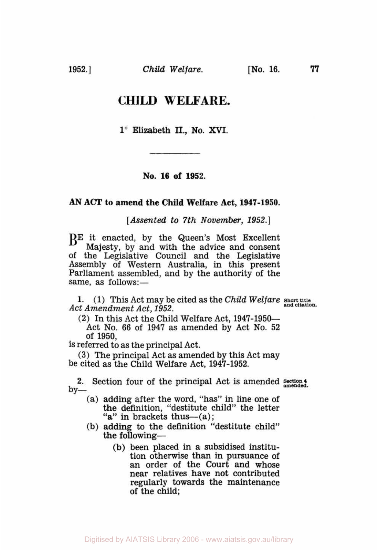**1952.]** *Child Welfare.*  **[No. 16. 77** 

# **CHILD WELFARE.**

**1"** Elizabeth **II., No.** *XVI.* 

## **No. 16 of 1952.**

#### **AN ACT to amend the Child Welfare Act, 1947-1950.**

*[Assented to 7th November,* **1952.]** 

BE it enacted, by the Queen's Most Excellent Majesty, by and with the advice and consent of the Legislative Council and the Legislative Assembly of Western Australia, in this present Parliament assembled, and by the authority of the same, as follows:-

**1. (1)** This Act may be cited as the *Child Welfare* **Short title**  Act Amendment Act, 1952.

(2) In this Act the Child Welfare Act, **1947-1950-**  Act No. **66** of **1947** as amended by Act **No.** 52 of **1950,** 

**is** referred to as the principal Act.

**(3)** The principal Act as amended by this Act may be cited as the Child Welfare Act, **1947-1952.** 

2. Section four of the principal Act is amended section 4  $by-$ 

- (a) adding after the word, "has" in line one of the definition, "destitute child" the letter "a" in brackets thus— $(a)$ ;
- (b) adding to the definition "destitute child" the following-
	- **(b)** been placed in a subsidised institution otherwise than in pursuance of an order of the Court and whose near relatives have not contributed regularly towards the maintenance of the child;

Digitised by AIATSIS Library 2006 - www.aiatsis.gov.au/library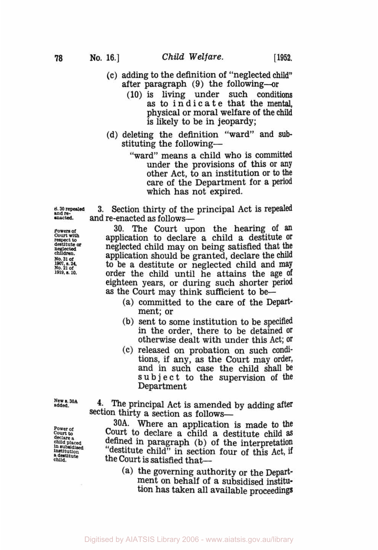- (c) adding to the definition of "neglected **child"**  after paragraph (9) the following-or
	- (10) is living under such conditions as to indicate that the mental. physical or moral welfare of the **child**  is likely to be in jeopardy;
- (d) deleting the definition "ward" and **sub**  stituting the following-
	- "ward" means a child who is committed<br>under the provisions of this or any other Act, to an institution or to the care of the Department for a period which has not expired.

**and re- and re-enacted as follows**<br>**and re-enacted** as follows and re-enacted as follows-

**Powers of 30.** The Court upon the hearing of an <br> **Court with** application to declare a child a destitute or<br> **Prespect to an adverted** child may on heing satisfied that the application to declare a child a destitute or **destitute neglected** *or* neglected child may on being satisfied that the **children. child child child child child child child child child child child child child child child child child child child child child child child child child child c No. 1901.s. 21 of** *24* to be a destitute or neglected child and may **1919.s.10.** order the child until he attains the age **of**  eighteen years, or during such shorter period as the Court may think sufficient to **be-** 

- (a) committed to the care of the Department; or
- **(b)** sent to some institution to be specifid in the order, there to be detained **Or**  otherwise dealt with under this Act; **Or**
- *(c)* released on probation on such conditions, if any, as the Court may order, and in such case the child shall be **s U** b j e *c* t to the supervision **of** the Department

**power Of**  *court* **to declare a** *child* **Placed in subsidised** institution **a destitute child.** 

**added. 4-** The principal Act is amended by adding after section thirty a section as follows-

**30A.** Where an application is made to **the**  Court to declare a child a destitute child **as**  "destitute child" in section four of this Act, if the Court is satisfied that-

(a) the governing authority or the Department on behalf **of a** subsidised institution has taken all available proceedings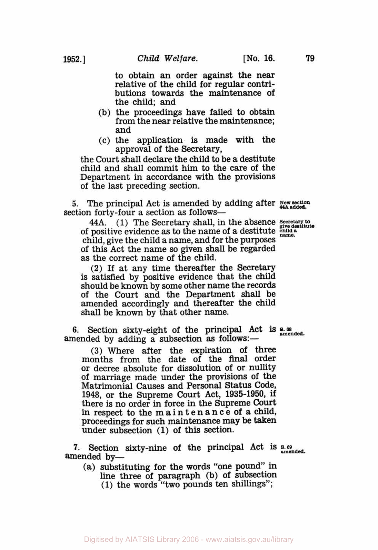to obtain an order against the near relative of the child for regular contri- butions towards the maintenance of the child; and

- (b) the proceedings have failed to obtain from the near relative the maintenance; and
- *(c)* the application is made with the approval of the Secretary,

the Court shall declare the child to be a destitute child and shall commit him to the care of the Department in accordance with the provisions **of** the last preceding section.

*5.* The principal Act is amended by adding after **<sup>N</sup>***ew* **section 44A added.** section forty-four a section as follows-

**44A. (1)** The Secretary shall, in the absence *Secretary to give destitute*  of positive evidence as to the name of a destitute child, give the child a name, and for the purposes of this Act the name *so* given shall be regarded as the correct name of the child.

(2) If at any time thereafter the Secretary is satisfied by positive evidence that the child should be known by **some** other name the records of the Court and the Department shall be amended accordingly and thereafter the child shall be known by that other name.

**6.** Section sixty-eight of the principal Act is **amended.** *s.68*  amended by adding a subsection as follows:-

**(3)** Where after the expiration of three months from the date of the final order or decree absolute for dissolution of or nullity of marriage made under the provisions of the Matrimonial Causes and Personal Status Code, **1948,** or the Supreme Court Act, **1935-1950,** if there is no order in force in the Supreme Court in respect to the m a i n t e n an **c** e of a child, proceedings for such maintenance may **be** taken under subsection (1) of this section.

**7.** Section sixty-nine of the principal Act is **s.69 amended.**  amended by-

**(a)** substituting for the words "one pound" in line three of paragraph (b) of subsection **(1)** the words "two pounds ten shillings";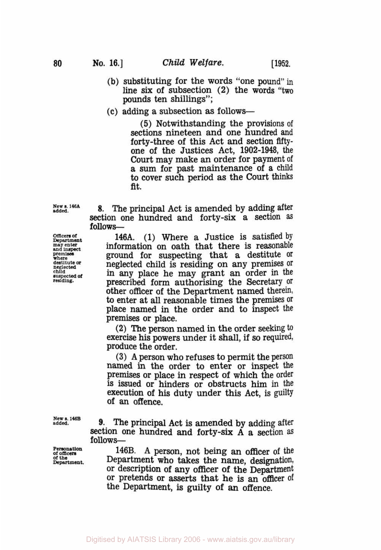- **(b)** substituting for the words "one pound" in line six of subsection **(2)** the words "two pounds ten shillings";
- (c) adding a subsection **as** follows-

**(5)** Notwithstanding the provisions of sections nineteen and one hundred and forty-three of this Act and section fiftyone of the Justices Act, **1902-1948,** the Court may make an order for payment of a sum for past maintenance of a child to cover such period as the **Court** thinks fit.

**New s. 146A added.** 

**Officers of Department may enter** *and* inspect **premises**  premises<br>where<br>destitute or **destitute** *or* neglected **Child**  *suspected of*  **residing.**  Section one hundred and forty-six a section **as follows - 146A. (1)** Where a Justice is satisfied by

**8.** The principal Act is amended by adding after

information on oath that there is reasonable ground for suspecting that a destitute or neglected child is residing on any premises Or in any place he may grant an order in the prescribed form authorising the Secretary Or other officer **of** the Department named therein, *to* enter at all reasonable times the premises Or place named in the order and to inspect the premises or place.

**(2) The** person named in the order seeking to exercise his powers under it shall, if so required, produce the order.

**(3) A** person who refuses to permit the person named in the order to enter or inspect the Premises or place in respect of which the order is issued or hinders or obstructs him in the execution **of** his duty under this Act, is guilty of an offence.

**New s.146B added.** 

section one hundred and forty-six A a section as follows-

143B **A** person, not being an officer of the Department who takes the name, designation, or description of any officer of the Department or pretends or asserts that he is an officer of the Department, is guilty **of an** offence.

**9.** The principal Act is amended by adding after

**Personation or officers of the Department.** 

**80**